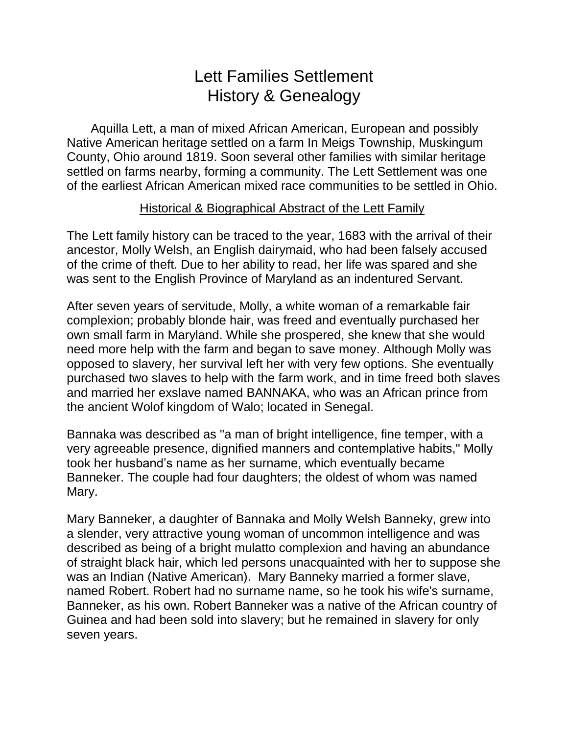# Lett Families Settlement History & Genealogy

Aquilla Lett, a man of mixed African American, European and possibly Native American heritage settled on a farm In Meigs Township, Muskingum County, Ohio around 1819. Soon several other families with similar heritage settled on farms nearby, forming a community. The Lett Settlement was one of the earliest African American mixed race communities to be settled in Ohio.

## Historical & Biographical Abstract of the Lett Family

The Lett family history can be traced to the year, 1683 with the arrival of their ancestor, Molly Welsh, an English dairymaid, who had been falsely accused of the crime of theft. Due to her ability to read, her life was spared and she was sent to the English Province of Maryland as an indentured Servant.

After seven years of servitude, Molly, a white woman of a remarkable fair complexion; probably blonde hair, was freed and eventually purchased her own small farm in Maryland. While she prospered, she knew that she would need more help with the farm and began to save money. Although Molly was opposed to slavery, her survival left her with very few options. She eventually purchased two slaves to help with the farm work, and in time freed both slaves and married her exslave named BANNAKA, who was an African prince from the ancient Wolof kingdom of Walo; located in Senegal.

Bannaka was described as "a man of bright intelligence, fine temper, with a very agreeable presence, dignified manners and contemplative habits," Molly took her husband's name as her surname, which eventually became Banneker. The couple had four daughters; the oldest of whom was named Mary.

Mary Banneker, a daughter of Bannaka and Molly Welsh Banneky, grew into a slender, very attractive young woman of uncommon intelligence and was described as being of a bright mulatto complexion and having an abundance of straight black hair, which led persons unacquainted with her to suppose she was an Indian (Native American). Mary Banneky married a former slave, named Robert. Robert had no surname name, so he took his wife's surname, Banneker, as his own. Robert Banneker was a native of the African country of Guinea and had been sold into slavery; but he remained in slavery for only seven years.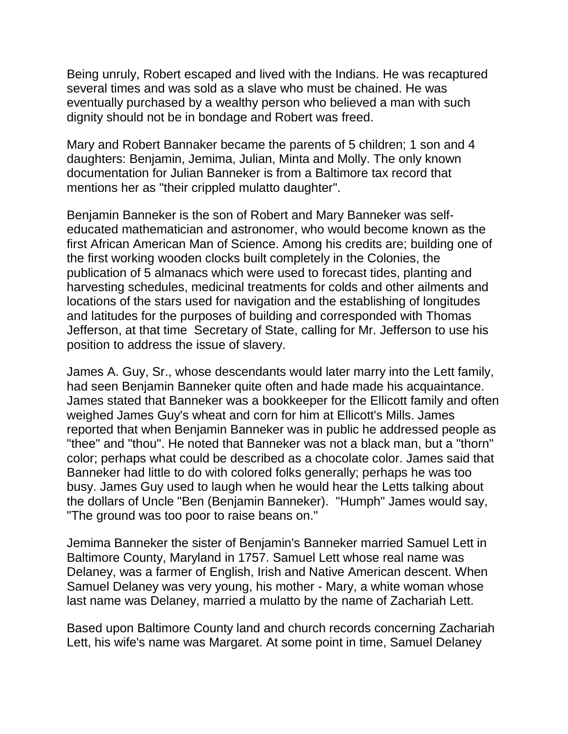Being unruly, Robert escaped and lived with the Indians. He was recaptured several times and was sold as a slave who must be chained. He was eventually purchased by a wealthy person who believed a man with such dignity should not be in bondage and Robert was freed.

Mary and Robert Bannaker became the parents of 5 children; 1 son and 4 daughters: Benjamin, Jemima, Julian, Minta and Molly. The only known documentation for Julian Banneker is from a Baltimore tax record that mentions her as "their crippled mulatto daughter".

Benjamin Banneker is the son of Robert and Mary Banneker was selfeducated mathematician and astronomer, who would become known as the first African American Man of Science. Among his credits are; building one of the first working wooden clocks built completely in the Colonies, the publication of 5 almanacs which were used to forecast tides, planting and harvesting schedules, medicinal treatments for colds and other ailments and locations of the stars used for navigation and the establishing of longitudes and latitudes for the purposes of building and corresponded with Thomas Jefferson, at that time Secretary of State, calling for Mr. Jefferson to use his position to address the issue of slavery.

James A. Guy, Sr., whose descendants would later marry into the Lett family, had seen Benjamin Banneker quite often and hade made his acquaintance. James stated that Banneker was a bookkeeper for the Ellicott family and often weighed James Guy's wheat and corn for him at Ellicott's Mills. James reported that when Benjamin Banneker was in public he addressed people as "thee" and "thou". He noted that Banneker was not a black man, but a "thorn" color; perhaps what could be described as a chocolate color. James said that Banneker had little to do with colored folks generally; perhaps he was too busy. James Guy used to laugh when he would hear the Letts talking about the dollars of Uncle "Ben (Benjamin Banneker). "Humph" James would say, "The ground was too poor to raise beans on."

Jemima Banneker the sister of Benjamin's Banneker married Samuel Lett in Baltimore County, Maryland in 1757. Samuel Lett whose real name was Delaney, was a farmer of English, Irish and Native American descent. When Samuel Delaney was very young, his mother - Mary, a white woman whose last name was Delaney, married a mulatto by the name of Zachariah Lett.

Based upon Baltimore County land and church records concerning Zachariah Lett, his wife's name was Margaret. At some point in time, Samuel Delaney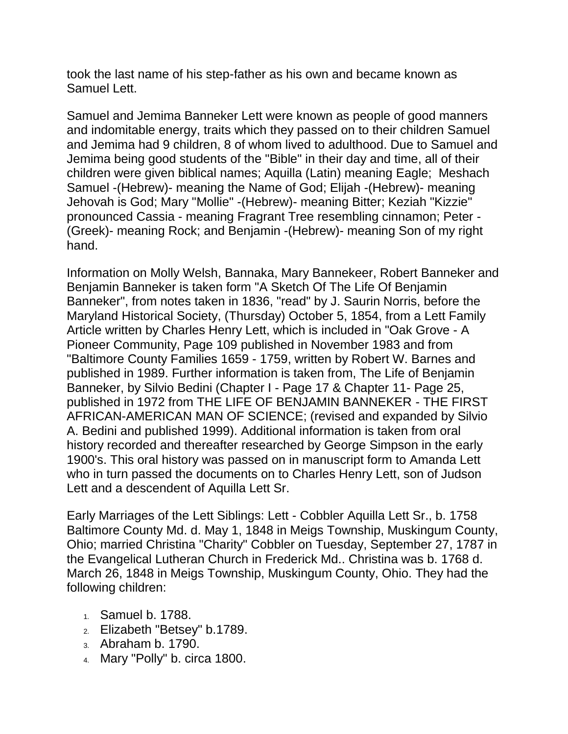took the last name of his step-father as his own and became known as Samuel Lett.

Samuel and Jemima Banneker Lett were known as people of good manners and indomitable energy, traits which they passed on to their children Samuel and Jemima had 9 children, 8 of whom lived to adulthood. Due to Samuel and Jemima being good students of the "Bible" in their day and time, all of their children were given biblical names; Aquilla (Latin) meaning Eagle; Meshach Samuel -(Hebrew)- meaning the Name of God; Elijah -(Hebrew)- meaning Jehovah is God; Mary "Mollie" -(Hebrew)- meaning Bitter; Keziah "Kizzie" pronounced Cassia - meaning Fragrant Tree resembling cinnamon; Peter - (Greek)- meaning Rock; and Benjamin -(Hebrew)- meaning Son of my right hand.

Information on Molly Welsh, Bannaka, Mary Bannekeer, Robert Banneker and Benjamin Banneker is taken form "A Sketch Of The Life Of Benjamin Banneker", from notes taken in 1836, "read" by J. Saurin Norris, before the Maryland Historical Society, (Thursday) October 5, 1854, from a Lett Family Article written by Charles Henry Lett, which is included in "Oak Grove - A Pioneer Community, Page 109 published in November 1983 and from "Baltimore County Families 1659 - 1759, written by Robert W. Barnes and published in 1989. Further information is taken from, The Life of Benjamin Banneker, by Silvio Bedini (Chapter I - Page 17 & Chapter 11- Page 25, published in 1972 from THE LIFE OF BENJAMIN BANNEKER - THE FIRST AFRICAN-AMERICAN MAN OF SCIENCE; (revised and expanded by Silvio A. Bedini and published 1999). Additional information is taken from oral history recorded and thereafter researched by George Simpson in the early 1900's. This oral history was passed on in manuscript form to Amanda Lett who in turn passed the documents on to Charles Henry Lett, son of Judson Lett and a descendent of Aquilla Lett Sr.

Early Marriages of the Lett Siblings: Lett - Cobbler Aquilla Lett Sr., b. 1758 Baltimore County Md. d. May 1, 1848 in Meigs Township, Muskingum County, Ohio; married Christina "Charity" Cobbler on Tuesday, September 27, 1787 in the Evangelical Lutheran Church in Frederick Md.. Christina was b. 1768 d. March 26, 1848 in Meigs Township, Muskingum County, Ohio. They had the following children:

- 1. Samuel b. 1788.
- 2. Elizabeth "Betsey" b.1789.
- 3. Abraham b. 1790.
- 4. Mary "Polly" b. circa 1800.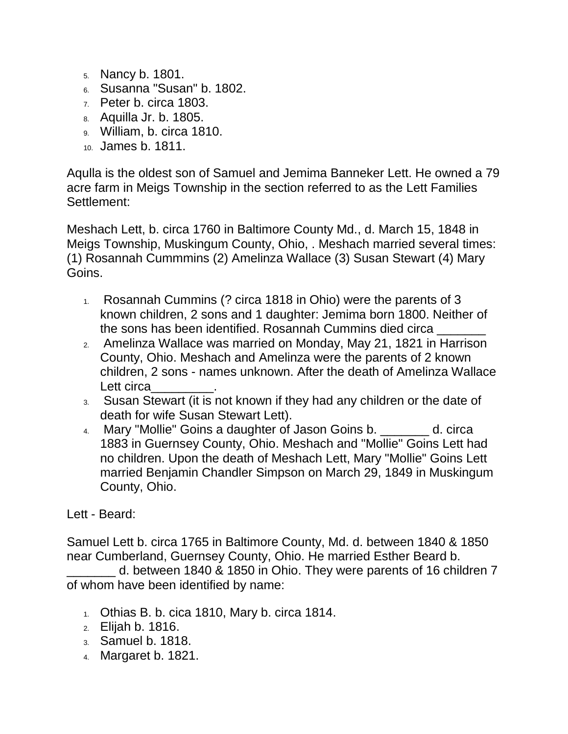- 5. Nancy b. 1801.
- 6. Susanna "Susan" b. 1802.
- $7.$  Peter b. circa 1803.
- 8. Aquilla Jr. b. 1805.
- 9. William, b. circa 1810.
- 10. James b. 1811.

Aqulla is the oldest son of Samuel and Jemima Banneker Lett. He owned a 79 acre farm in Meigs Township in the section referred to as the Lett Families Settlement:

Meshach Lett, b. circa 1760 in Baltimore County Md., d. March 15, 1848 in Meigs Township, Muskingum County, Ohio, . Meshach married several times: (1) Rosannah Cummmins (2) Amelinza Wallace (3) Susan Stewart (4) Mary Goins.

- 1. Rosannah Cummins (? circa 1818 in Ohio) were the parents of 3 known children, 2 sons and 1 daughter: Jemima born 1800. Neither of the sons has been identified. Rosannah Cummins died circa \_\_\_\_\_\_\_
- 2. Amelinza Wallace was married on Monday, May 21, 1821 in Harrison County, Ohio. Meshach and Amelinza were the parents of 2 known children, 2 sons - names unknown. After the death of Amelinza Wallace Lett circa
- 3. Susan Stewart (it is not known if they had any children or the date of death for wife Susan Stewart Lett).
- 4. Mary "Mollie" Goins a daughter of Jason Goins b.  $\qquad \qquad$  d. circa 1883 in Guernsey County, Ohio. Meshach and "Mollie" Goins Lett had no children. Upon the death of Meshach Lett, Mary "Mollie" Goins Lett married Benjamin Chandler Simpson on March 29, 1849 in Muskingum County, Ohio.

#### Lett - Beard:

Samuel Lett b. circa 1765 in Baltimore County, Md. d. between 1840 & 1850 near Cumberland, Guernsey County, Ohio. He married Esther Beard b.

\_\_\_\_\_\_\_ d. between 1840 & 1850 in Ohio. They were parents of 16 children 7 of whom have been identified by name:

- $1.$  Othias B. b. cica 1810, Mary b. circa 1814.
- 2. Elijah b. 1816.
- 3. Samuel b. 1818.
- 4. Margaret b. 1821.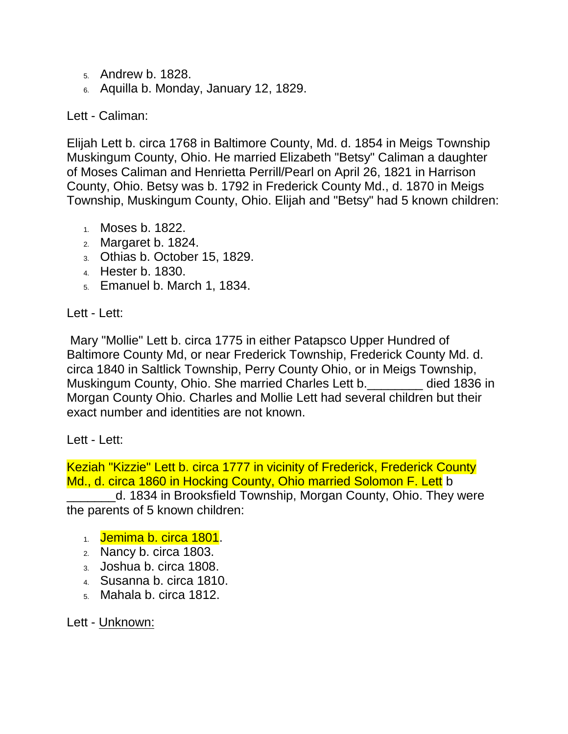- 5. Andrew b. 1828.
- 6. Aquilla b. Monday, January 12, 1829.

### Lett - Caliman:

Elijah Lett b. circa 1768 in Baltimore County, Md. d. 1854 in Meigs Township Muskingum County, Ohio. He married Elizabeth "Betsy" Caliman a daughter of Moses Caliman and Henrietta Perrill/Pearl on April 26, 1821 in Harrison County, Ohio. Betsy was b. 1792 in Frederick County Md., d. 1870 in Meigs Township, Muskingum County, Ohio. Elijah and "Betsy" had 5 known children:

- 1. Moses b. 1822.
- 2. Margaret b. 1824.
- 3. Othias b. October 15, 1829.
- 4. Hester b. 1830.
- 5. Emanuel b. March 1, 1834.

Lett - Lett:

Mary "Mollie" Lett b. circa 1775 in either Patapsco Upper Hundred of Baltimore County Md, or near Frederick Township, Frederick County Md. d. circa 1840 in Saltlick Township, Perry County Ohio, or in Meigs Township, Muskingum County, Ohio. She married Charles Lett b. \_\_\_\_\_\_\_ died 1836 in Morgan County Ohio. Charles and Mollie Lett had several children but their exact number and identities are not known.

#### Lett - Lett:

Keziah "Kizzie" Lett b. circa 1777 in vicinity of Frederick, Frederick County Md., d. circa 1860 in Hocking County, Ohio married Solomon F. Lett b

\_\_\_\_\_\_\_d. 1834 in Brooksfield Township, Morgan County, Ohio. They were the parents of 5 known children:

- 1. **Jemima b. circa 1801.**
- 2. Nancy b. circa 1803.
- 3. Joshua b. circa 1808.
- 4. Susanna b. circa 1810.
- 5. Mahala b. circa 1812.

Lett - Unknown: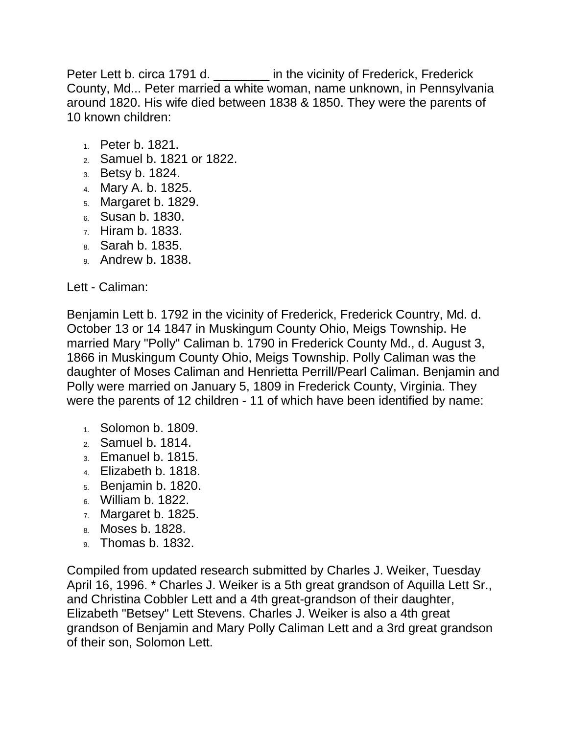Peter Lett b. circa 1791 d. \_\_\_\_\_\_\_\_\_ in the vicinity of Frederick, Frederick County, Md... Peter married a white woman, name unknown, in Pennsylvania around 1820. His wife died between 1838 & 1850. They were the parents of 10 known children:

- 1. Peter b. 1821.
- 2. Samuel b. 1821 or 1822.
- 3. Betsy b. 1824.
- 4. Mary A. b. 1825.
- 5. Margaret b. 1829.
- 6. Susan b. 1830.
- 7. Hiram b. 1833.
- 8. Sarah b. 1835.
- 9. Andrew b. 1838.

Lett - Caliman:

Benjamin Lett b. 1792 in the vicinity of Frederick, Frederick Country, Md. d. October 13 or 14 1847 in Muskingum County Ohio, Meigs Township. He married Mary "Polly" Caliman b. 1790 in Frederick County Md., d. August 3, 1866 in Muskingum County Ohio, Meigs Township. Polly Caliman was the daughter of Moses Caliman and Henrietta Perrill/Pearl Caliman. Benjamin and Polly were married on January 5, 1809 in Frederick County, Virginia. They were the parents of 12 children - 11 of which have been identified by name:

- 1. Solomon b. 1809.
- 2. Samuel b. 1814.
- 3. Emanuel b. 1815.
- 4. Elizabeth b. 1818.
- 5. Benjamin b. 1820.
- 6. William b. 1822.
- 7. Margaret b. 1825.
- 8. Moses b. 1828.
- 9. Thomas b. 1832.

Compiled from updated research submitted by Charles J. Weiker, Tuesday April 16, 1996. \* Charles J. Weiker is a 5th great grandson of Aquilla Lett Sr., and Christina Cobbler Lett and a 4th great-grandson of their daughter, Elizabeth "Betsey" Lett Stevens. Charles J. Weiker is also a 4th great grandson of Benjamin and Mary Polly Caliman Lett and a 3rd great grandson of their son, Solomon Lett.